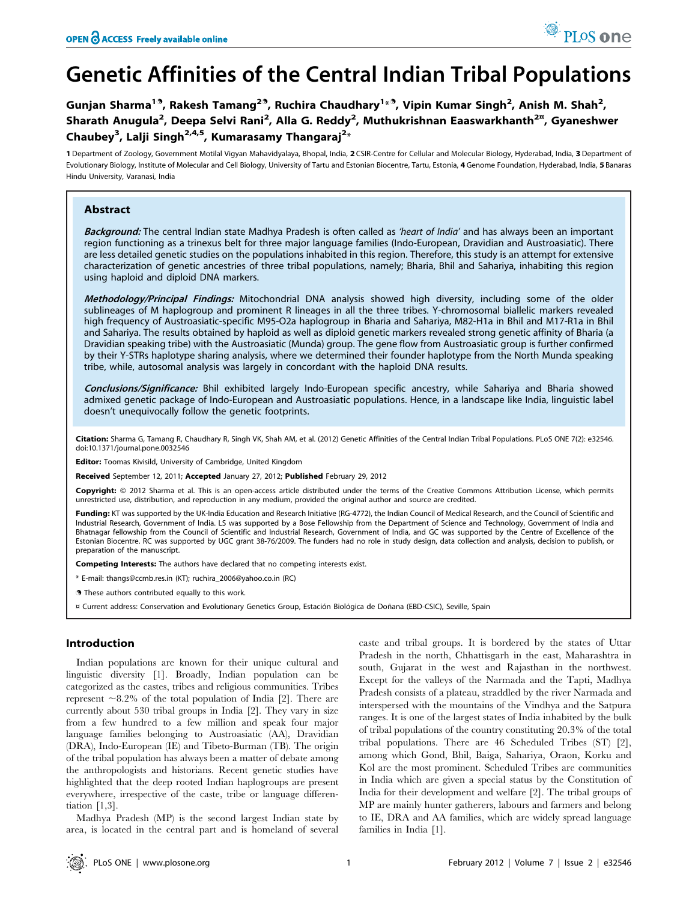# Genetic Affinities of the Central Indian Tribal Populations

Gunjan Sharma<sup>19</sup>, Rakesh Tamang<sup>29</sup>, Ruchira Chaudhary<sup>1</sup>\*<sup>9</sup>, Vipin Kumar Singh<sup>2</sup>, Anish M. Shah<sup>2</sup>, Sharath Anugula<sup>2</sup>, Deepa Selvi Rani<sup>2</sup>, Alla G. Reddy<sup>2</sup>, Muthukrishnan Eaaswarkhanth<sup>2¤</sup>, Gyaneshwer Chaubey<sup>3</sup>, Lalji Singh<sup>2,4,5</sup>, Kumarasamy Thangaraj<sup>2</sup>\*

1 Department of Zoology, Government Motilal Vigyan Mahavidyalaya, Bhopal, India, 2 CSIR-Centre for Cellular and Molecular Biology, Hyderabad, India, 3 Department of Evolutionary Biology, Institute of Molecular and Cell Biology, University of Tartu and Estonian Biocentre, Tartu, Estonia, 4 Genome Foundation, Hyderabad, India, 5 Banaras Hindu University, Varanasi, India

# Abstract

Background: The central Indian state Madhya Pradesh is often called as 'heart of India' and has always been an important region functioning as a trinexus belt for three major language families (Indo-European, Dravidian and Austroasiatic). There are less detailed genetic studies on the populations inhabited in this region. Therefore, this study is an attempt for extensive characterization of genetic ancestries of three tribal populations, namely; Bharia, Bhil and Sahariya, inhabiting this region using haploid and diploid DNA markers.

Methodology/Principal Findings: Mitochondrial DNA analysis showed high diversity, including some of the older sublineages of M haplogroup and prominent R lineages in all the three tribes. Y-chromosomal biallelic markers revealed high frequency of Austroasiatic-specific M95-O2a haplogroup in Bharia and Sahariya, M82-H1a in Bhil and M17-R1a in Bhil and Sahariya. The results obtained by haploid as well as diploid genetic markers revealed strong genetic affinity of Bharia (a Dravidian speaking tribe) with the Austroasiatic (Munda) group. The gene flow from Austroasiatic group is further confirmed by their Y-STRs haplotype sharing analysis, where we determined their founder haplotype from the North Munda speaking tribe, while, autosomal analysis was largely in concordant with the haploid DNA results.

Conclusions/Significance: Bhil exhibited largely Indo-European specific ancestry, while Sahariya and Bharia showed admixed genetic package of Indo-European and Austroasiatic populations. Hence, in a landscape like India, linguistic label doesn't unequivocally follow the genetic footprints.

Citation: Sharma G, Tamang R, Chaudhary R, Singh VK, Shah AM, et al. (2012) Genetic Affinities of the Central Indian Tribal Populations. PLoS ONE 7(2): e32546. doi:10.1371/journal.pone.0032546

ditor: Toomas Kivisild, University of Cambridge, United Kingdom

Received September 12, 2011; Accepted January 27, 2012; Published February 29, 2012

Copyright: © 2012 Sharma et al. This is an open-access article distributed under the terms of the Creative Commons Attribution License, which permits unrestricted use, distribution, and reproduction in any medium, provided the original author and source are credited.

Funding: KT was supported by the UK-India Education and Research Initiative (RG-4772), the Indian Council of Medical Research, and the Council of Scientific and Industrial Research, Government of India. LS was supported by a Bose Fellowship from the Department of Science and Technology, Government of India and Bhatnagar fellowship from the Council of Scientific and Industrial Research, Government of India, and GC was supported by the Centre of Excellence of the Estonian Biocentre. RC was supported by UGC grant 38-76/2009. The funders had no role in study design, data collection and analysis, decision to publish, or preparation of the manuscript.

Competing Interests: The authors have declared that no competing interests exist.

- \* E-mail: thangs@ccmb.res.in (KT); ruchira\_2006@yahoo.co.in (RC)
- . These authors contributed equally to this work.

¤ Current address: Conservation and Evolutionary Genetics Group, Estación Biológica de Doñana (EBD-CSIC), Seville, Spain

# Introduction

Indian populations are known for their unique cultural and linguistic diversity [1]. Broadly, Indian population can be categorized as the castes, tribes and religious communities. Tribes represent  $\sim$ 8.2% of the total population of India [2]. There are currently about 530 tribal groups in India [2]. They vary in size from a few hundred to a few million and speak four major language families belonging to Austroasiatic (AA), Dravidian (DRA), Indo-European (IE) and Tibeto-Burman (TB). The origin of the tribal population has always been a matter of debate among the anthropologists and historians. Recent genetic studies have highlighted that the deep rooted Indian haplogroups are present everywhere, irrespective of the caste, tribe or language differentiation [1,3].

Madhya Pradesh (MP) is the second largest Indian state by area, is located in the central part and is homeland of several caste and tribal groups. It is bordered by the states of Uttar Pradesh in the north, Chhattisgarh in the east, Maharashtra in south, Gujarat in the west and Rajasthan in the northwest. Except for the valleys of the Narmada and the Tapti, Madhya Pradesh consists of a plateau, straddled by the river Narmada and interspersed with the mountains of the Vindhya and the Satpura ranges. It is one of the largest states of India inhabited by the bulk of tribal populations of the country constituting 20.3% of the total tribal populations. There are 46 Scheduled Tribes (ST) [2], among which Gond, Bhil, Baiga, Sahariya, Oraon, Korku and Kol are the most prominent. Scheduled Tribes are communities in India which are given a special status by the Constitution of India for their development and welfare [2]. The tribal groups of MP are mainly hunter gatherers, labours and farmers and belong to IE, DRA and AA families, which are widely spread language families in India [1].

PLoS one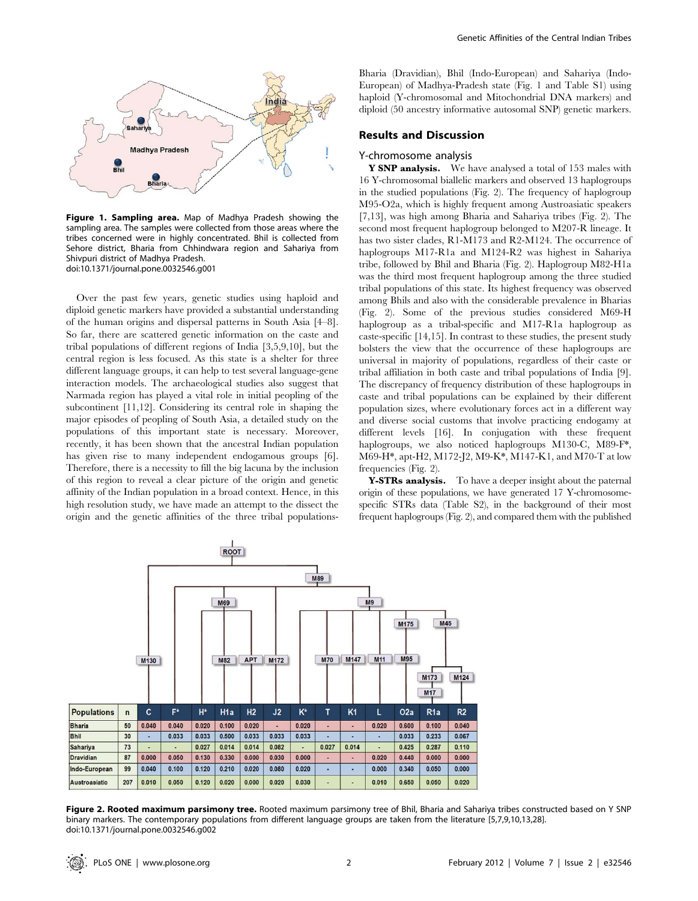

Figure 1. Sampling area. Map of Madhya Pradesh showing the sampling area. The samples were collected from those areas where the tribes concerned were in highly concentrated. Bhil is collected from Sehore district, Bharia from Chhindwara region and Sahariya from Shivpuri district of Madhya Pradesh. doi:10.1371/journal.pone.0032546.g001

Over the past few years, genetic studies using haploid and diploid genetic markers have provided a substantial understanding of the human origins and dispersal patterns in South Asia [4–8]. So far, there are scattered genetic information on the caste and tribal populations of different regions of India [3,5,9,10], but the central region is less focused. As this state is a shelter for three different language groups, it can help to test several language-gene interaction models. The archaeological studies also suggest that Narmada region has played a vital role in initial peopling of the subcontinent [11,12]. Considering its central role in shaping the major episodes of peopling of South Asia, a detailed study on the populations of this important state is necessary. Moreover, recently, it has been shown that the ancestral Indian population has given rise to many independent endogamous groups [6]. Therefore, there is a necessity to fill the big lacuna by the inclusion of this region to reveal a clear picture of the origin and genetic affinity of the Indian population in a broad context. Hence, in this high resolution study, we have made an attempt to the dissect the origin and the genetic affinities of the three tribal populationsBharia (Dravidian), Bhil (Indo-European) and Sahariya (Indo-European) of Madhya-Pradesh state (Fig. 1 and Table S1) using haploid (Y-chromosomal and Mitochondrial DNA markers) and diploid (50 ancestry informative autosomal SNP) genetic markers.

# Results and Discussion

## Y-chromosome analysis

Y SNP analysis. We have analysed a total of 153 males with 16 Y-chromosomal biallelic markers and observed 13 haplogroups in the studied populations (Fig. 2). The frequency of haplogroup M95-O2a, which is highly frequent among Austroasiatic speakers [7,13], was high among Bharia and Sahariya tribes (Fig. 2). The second most frequent haplogroup belonged to M207-R lineage. It has two sister clades, R1-M173 and R2-M124. The occurrence of haplogroups M17-R1a and M124-R2 was highest in Sahariya tribe, followed by Bhil and Bharia (Fig. 2). Haplogroup M82-H1a was the third most frequent haplogroup among the three studied tribal populations of this state. Its highest frequency was observed among Bhils and also with the considerable prevalence in Bharias (Fig. 2). Some of the previous studies considered M69-H haplogroup as a tribal-specific and M17-R1a haplogroup as caste-specific [14,15]. In contrast to these studies, the present study bolsters the view that the occurrence of these haplogroups are universal in majority of populations, regardless of their caste or tribal affiliation in both caste and tribal populations of India [9]. The discrepancy of frequency distribution of these haplogroups in caste and tribal populations can be explained by their different population sizes, where evolutionary forces act in a different way and diverse social customs that involve practicing endogamy at different levels [16]. In conjugation with these frequent haplogroups, we also noticed haplogroups M130-C, M89-F<sup>\*</sup>, M69-H\*, apt-H2, M172-J2, M9-K\*, M147-K1, and M70-T at low frequencies (Fig. 2).

Y-STRs analysis. To have a deeper insight about the paternal origin of these populations, we have generated 17 Y-chromosomespecific STRs data (Table S2), in the background of their most frequent haplogroups (Fig. 2), and compared them with the published



Figure 2. Rooted maximum parsimony tree. Rooted maximum parsimony tree of Bhil, Bharia and Sahariya tribes constructed based on Y SNP binary markers. The contemporary populations from different language groups are taken from the literature [5,7,9,10,13,28]. doi:10.1371/journal.pone.0032546.g002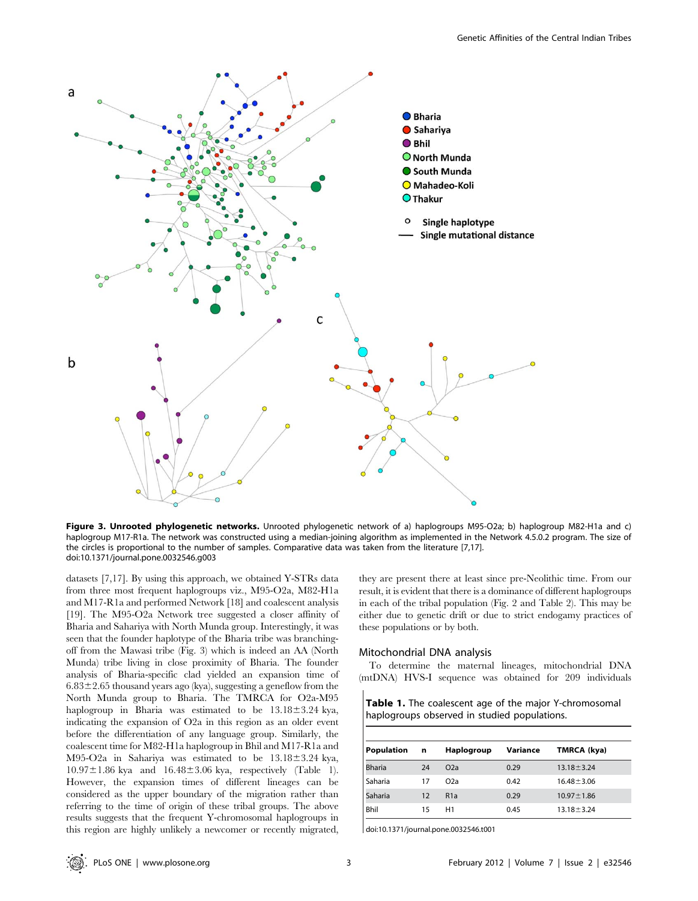

Figure 3. Unrooted phylogenetic networks. Unrooted phylogenetic network of a) haplogroups M95-O2a; b) haplogroup M82-H1a and c) haplogroup M17-R1a. The network was constructed using a median-joining algorithm as implemented in the Network 4.5.0.2 program. The size of the circles is proportional to the number of samples. Comparative data was taken from the literature [7,17]. doi:10.1371/journal.pone.0032546.g003

datasets [7,17]. By using this approach, we obtained Y-STRs data from three most frequent haplogroups viz., M95-O2a, M82-H1a and M17-R1a and performed Network [18] and coalescent analysis [19]. The M95-O2a Network tree suggested a closer affinity of Bharia and Sahariya with North Munda group. Interestingly, it was seen that the founder haplotype of the Bharia tribe was branchingoff from the Mawasi tribe (Fig. 3) which is indeed an AA (North Munda) tribe living in close proximity of Bharia. The founder analysis of Bharia-specific clad yielded an expansion time of  $6.83\pm2.65$  thousand years ago (kya), suggesting a geneflow from the North Munda group to Bharia. The TMRCA for O2a-M95 haplogroup in Bharia was estimated to be  $13.18 \pm 3.24$  kya, indicating the expansion of O2a in this region as an older event before the differentiation of any language group. Similarly, the coalescent time for M82-H1a haplogroup in Bhil and M17-R1a and M95-O2a in Sahariya was estimated to be  $13.18 \pm 3.24$  kya,  $10.97 \pm 1.86$  kya and  $16.48 \pm 3.06$  kya, respectively (Table 1). However, the expansion times of different lineages can be considered as the upper boundary of the migration rather than referring to the time of origin of these tribal groups. The above results suggests that the frequent Y-chromosomal haplogroups in this region are highly unlikely a newcomer or recently migrated,

they are present there at least since pre-Neolithic time. From our result, it is evident that there is a dominance of different haplogroups in each of the tribal population (Fig. 2 and Table 2). This may be either due to genetic drift or due to strict endogamy practices of these populations or by both.

#### Mitochondrial DNA analysis

To determine the maternal lineages, mitochondrial DNA (mtDNA) HVS-I sequence was obtained for 209 individuals

Table 1. The coalescent age of the major Y-chromosomal haplogroups observed in studied populations.

| <b>Population</b> | n  | Haplogroup       | Variance | TMRCA (kya)      |  |  |  |  |  |
|-------------------|----|------------------|----------|------------------|--|--|--|--|--|
| <b>Bharia</b>     | 24 | O <sub>2</sub> a | 0.29     | $13.18 \pm 3.24$ |  |  |  |  |  |
| Saharia           | 17 | O <sub>2</sub> a | 0.42     | $16.48 \pm 3.06$ |  |  |  |  |  |
| Saharia           | 12 | R <sub>1</sub> a | 0.29     | $10.97 \pm 1.86$ |  |  |  |  |  |
| Bhil              | 15 | H1               | 0.45     | $13.18 \pm 3.24$ |  |  |  |  |  |

doi:10.1371/journal.pone.0032546.t001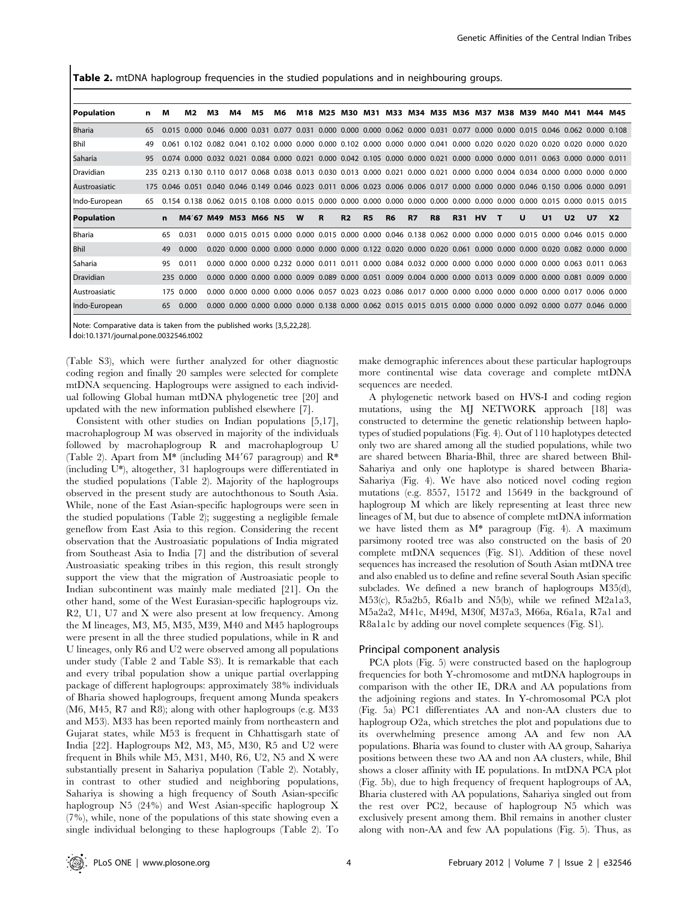Table 2. mtDNA haplogroup frequencies in the studied populations and in neighbouring groups.

| <b>Population</b>    | n  | м         | M2                                                                                                                                      | M <sub>3</sub>                                                                                                          | M4  | M5            | M6 | M18 | M25 M30 M31 |                |           |                |           | M33 M34 M35 M36 M37                                                                                               |            |           | M38 | M39 | M40            | M41            | M44            | M45            |
|----------------------|----|-----------|-----------------------------------------------------------------------------------------------------------------------------------------|-------------------------------------------------------------------------------------------------------------------------|-----|---------------|----|-----|-------------|----------------|-----------|----------------|-----------|-------------------------------------------------------------------------------------------------------------------|------------|-----------|-----|-----|----------------|----------------|----------------|----------------|
| l Bharia             | 65 |           | 0.015 0.000                                                                                                                             |                                                                                                                         |     |               |    |     |             |                |           |                |           | 0.046 0.000 0.031 0.077 0.031 0.000 0.000 0.000 0.062 0.000 0.031 0.077 0.000 0.000 0.015 0.046 0.062 0.000 0.108 |            |           |     |     |                |                |                |                |
| l Bhil               | 49 | 0.061     |                                                                                                                                         | 0.102 0.082 0.041 0.102 0.000 0.000 0.000 0.102 0.000 0.000 0.000 0.041 0.000 0.020 0.020 0.020 0.020 0.020 0.020 0.020 |     |               |    |     |             |                |           |                |           |                                                                                                                   |            |           |     |     |                |                |                |                |
| l Saharia            | 95 |           | 0.074 0.000 0.032 0.021 0.084 0.000 0.021 0.000 0.042 0.105 0.000 0.000 0.021 0.000 0.000 0.000 0.011 0.063 0.000 0.000 0.011           |                                                                                                                         |     |               |    |     |             |                |           |                |           |                                                                                                                   |            |           |     |     |                |                |                |                |
| l Dravidian          |    |           | 235 0.213 0.130 0.110 0.017 0.068 0.038 0.013 0.030 0.013 0.000 0.021 0.000 0.021 0.000 0.000 0.004 0.034 0.000 0.000 0.000 0.000 0.000 |                                                                                                                         |     |               |    |     |             |                |           |                |           |                                                                                                                   |            |           |     |     |                |                |                |                |
| <b>Austroasiatic</b> |    |           | 175 0.046 0.051 0.040 0.046 0.149 0.046 0.023 0.011 0.006 0.023 0.006 0.006 0.017 0.000 0.000 0.000 0.046 0.150 0.006 0.000 0.091       |                                                                                                                         |     |               |    |     |             |                |           |                |           |                                                                                                                   |            |           |     |     |                |                |                |                |
| Indo-European        | 65 | 0.154     |                                                                                                                                         | 0.138 0.062 0.015 0.108 0.000 0.015 0.000 0.000 0.000 0.000 0.000 0.000 0.000 0.000 0.000 0.000 0.015 0.000 0.015 0.015 |     |               |    |     |             |                |           |                |           |                                                                                                                   |            |           |     |     |                |                |                |                |
| <b>Population</b>    |    | n         | M4'67 M49                                                                                                                               |                                                                                                                         | M53 | <b>M66 N5</b> |    | W   | R           | R <sub>2</sub> | <b>R5</b> | R <sub>6</sub> | <b>R7</b> | R <sub>8</sub>                                                                                                    | <b>R31</b> | <b>HV</b> |     | U   | U <sub>1</sub> | U <sub>2</sub> | U <sub>7</sub> | X <sub>2</sub> |
| <b>Bharia</b>        |    | 65        | 0.031                                                                                                                                   |                                                                                                                         |     |               |    |     |             |                |           |                |           | 0.000 0.015 0.015 0.000 0.000 0.015 0.000 0.000 0.046 0.138 0.062 0.000 0.000 0.000 0.015 0.000 0.046 0.015 0.000 |            |           |     |     |                |                |                |                |
| <b>Bhil</b>          |    | 49        | 0.000                                                                                                                                   |                                                                                                                         |     |               |    |     |             |                |           |                |           | 0.020 0.000 0.000 0.000 0.000 0.000 0.000 0.122 0.020 0.000 0.020 0.061 0.000 0.000 0.000 0.020 0.082 0.000 0.000 |            |           |     |     |                |                |                |                |
| l Saharia            |    | 95        | 0.011                                                                                                                                   | 0.000 L                                                                                                                 |     |               |    |     |             |                |           |                |           | 0.000 0.000 0.232 0.000 0.011 0.011 0.000 0.084 0.032 0.000 0.000 0.000 0.000 0.000 0.063 0.011                   |            |           |     |     |                |                |                | 0.063          |
| <b>Dravidian</b>     |    | 235 0.000 |                                                                                                                                         |                                                                                                                         |     |               |    |     |             |                |           |                |           | 0.000 0.000 0.000 0.000 0.009 0.089 0.000 0.051 0.009 0.004 0.000 0.000 0.013 0.009 0.000 0.000 0.081 0.009 0.000 |            |           |     |     |                |                |                |                |
| l Austroasiatic      |    | 175 0.000 |                                                                                                                                         | 0.000                                                                                                                   |     |               |    |     |             |                |           |                |           | 0.000 0.000 0.000 0.006 0.057 0.023 0.023 0.086 0.017 0.000 0.000 0.000 0.000 0.000 0.000 0.017 0.006 0.000       |            |           |     |     |                |                |                |                |
| Indo-European        |    | 65        | 0.000                                                                                                                                   | n nnn                                                                                                                   |     |               |    |     |             |                |           |                |           | 0.000 0.000 0.000 0.000 0.138 0.000 0.062 0.015 0.015 0.015 0.000 0.000 0.000 0.092 0.000 0.077 0.046 0.000       |            |           |     |     |                |                |                |                |

Note: Comparative data is taken from the published works [3,5,22,28]. doi:10.1371/journal.pone.0032546.t002

(Table S3), which were further analyzed for other diagnostic coding region and finally 20 samples were selected for complete mtDNA sequencing. Haplogroups were assigned to each individual following Global human mtDNA phylogenetic tree [20] and updated with the new information published elsewhere [7].

Consistent with other studies on Indian populations [5,17], macrohaplogroup M was observed in majority of the individuals followed by macrohaplogroup R and macrohaplogroup U (Table 2). Apart from  $M^*$  (including M4'67 paragroup) and  $R^*$ (including U\*), altogether, 31 haplogroups were differentiated in the studied populations (Table 2). Majority of the haplogroups observed in the present study are autochthonous to South Asia. While, none of the East Asian-specific haplogroups were seen in the studied populations (Table 2); suggesting a negligible female geneflow from East Asia to this region. Considering the recent observation that the Austroasiatic populations of India migrated from Southeast Asia to India [7] and the distribution of several Austroasiatic speaking tribes in this region, this result strongly support the view that the migration of Austroasiatic people to Indian subcontinent was mainly male mediated [21]. On the other hand, some of the West Eurasian-specific haplogroups viz. R2, U1, U7 and X were also present at low frequency. Among the M lineages, M3, M5, M35, M39, M40 and M45 haplogroups were present in all the three studied populations, while in R and U lineages, only R6 and U2 were observed among all populations under study (Table 2 and Table S3). It is remarkable that each and every tribal population show a unique partial overlapping package of different haplogroups: approximately 38% individuals of Bharia showed haplogroups, frequent among Munda speakers (M6, M45, R7 and R8); along with other haplogroups (e.g. M33 and M53). M33 has been reported mainly from northeastern and Gujarat states, while M53 is frequent in Chhattisgarh state of India [22]. Haplogroups M2, M3, M5, M30, R5 and U2 were frequent in Bhils while M5, M31, M40, R6, U2, N5 and X were substantially present in Sahariya population (Table 2). Notably, in contrast to other studied and neighboring populations, Sahariya is showing a high frequency of South Asian-specific haplogroup N5 (24%) and West Asian-specific haplogroup X (7%), while, none of the populations of this state showing even a single individual belonging to these haplogroups (Table 2). To

make demographic inferences about these particular haplogroups more continental wise data coverage and complete mtDNA sequences are needed.

A phylogenetic network based on HVS-I and coding region mutations, using the MJ NETWORK approach [18] was constructed to determine the genetic relationship between haplotypes of studied populations (Fig. 4). Out of 110 haplotypes detected only two are shared among all the studied populations, while two are shared between Bharia-Bhil, three are shared between Bhil-Sahariya and only one haplotype is shared between Bharia-Sahariya (Fig. 4). We have also noticed novel coding region mutations (e.g. 8557, 15172 and 15649 in the background of haplogroup M which are likely representing at least three new lineages of M, but due to absence of complete mtDNA information we have listed them as M\* paragroup (Fig. 4). A maximum parsimony rooted tree was also constructed on the basis of 20 complete mtDNA sequences (Fig. S1). Addition of these novel sequences has increased the resolution of South Asian mtDNA tree and also enabled us to define and refine several South Asian specific subclades. We defined a new branch of haplogroups M35(d), M53(c), R5a2b5, R6a1b and N5(b), while we refined M2a1a3, M5a2a2, M41c, M49d, M30f, M37a3, M66a, R6a1a, R7a1 and R8a1a1c by adding our novel complete sequences (Fig. S1).

#### Principal component analysis

PCA plots (Fig. 5) were constructed based on the haplogroup frequencies for both Y-chromosome and mtDNA haplogroups in comparison with the other IE, DRA and AA populations from the adjoining regions and states. In Y-chromosomal PCA plot (Fig. 5a) PC1 differentiates AA and non-AA clusters due to haplogroup O2a, which stretches the plot and populations due to its overwhelming presence among AA and few non AA populations. Bharia was found to cluster with AA group, Sahariya positions between these two AA and non AA clusters, while, Bhil shows a closer affinity with IE populations. In mtDNA PCA plot (Fig. 5b), due to high frequency of frequent haplogroups of AA, Bharia clustered with AA populations, Sahariya singled out from the rest over PC2, because of haplogroup N5 which was exclusively present among them. Bhil remains in another cluster along with non-AA and few AA populations (Fig. 5). Thus, as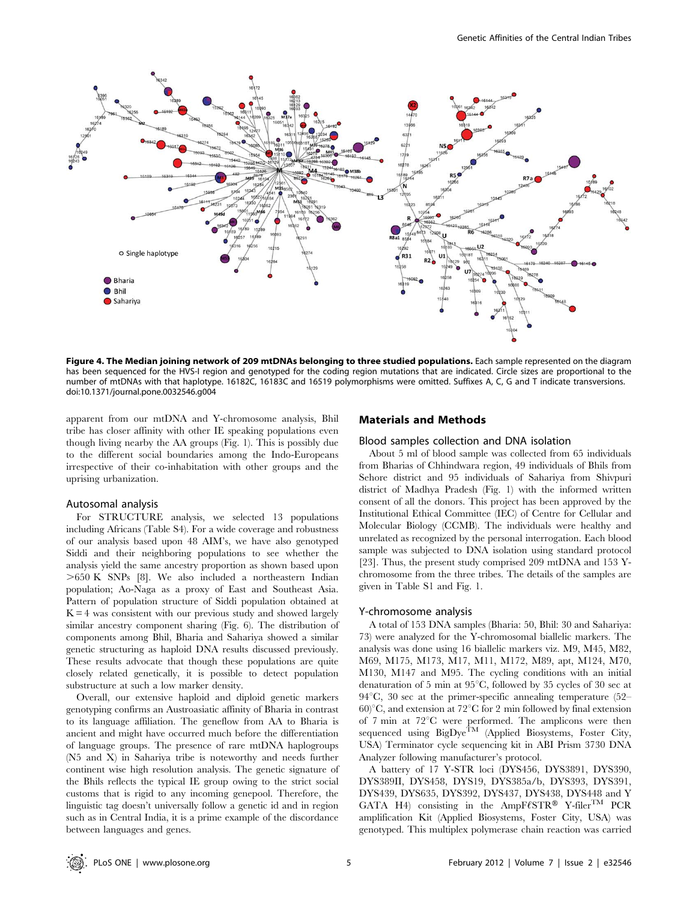

Figure 4. The Median joining network of 209 mtDNAs belonging to three studied populations. Each sample represented on the diagram has been sequenced for the HVS-I region and genotyped for the coding region mutations that are indicated. Circle sizes are proportional to the number of mtDNAs with that haplotype. 16182C, 16183C and 16519 polymorphisms were omitted. Suffixes A, C, G and T indicate transversions. doi:10.1371/journal.pone.0032546.g004

apparent from our mtDNA and Y-chromosome analysis, Bhil tribe has closer affinity with other IE speaking populations even though living nearby the AA groups (Fig. 1). This is possibly due to the different social boundaries among the Indo-Europeans irrespective of their co-inhabitation with other groups and the uprising urbanization.

#### Autosomal analysis

For STRUCTURE analysis, we selected 13 populations including Africans (Table S4). For a wide coverage and robustness of our analysis based upon 48 AIM's, we have also genotyped Siddi and their neighboring populations to see whether the analysis yield the same ancestry proportion as shown based upon  $>650$  K SNPs [8]. We also included a northeastern Indian population; Ao-Naga as a proxy of East and Southeast Asia. Pattern of population structure of Siddi population obtained at  $K = 4$  was consistent with our previous study and showed largely similar ancestry component sharing (Fig. 6). The distribution of components among Bhil, Bharia and Sahariya showed a similar genetic structuring as haploid DNA results discussed previously. These results advocate that though these populations are quite closely related genetically, it is possible to detect population substructure at such a low marker density.

Overall, our extensive haploid and diploid genetic markers genotyping confirms an Austroasiatic affinity of Bharia in contrast to its language affiliation. The geneflow from AA to Bharia is ancient and might have occurred much before the differentiation of language groups. The presence of rare mtDNA haplogroups (N5 and X) in Sahariya tribe is noteworthy and needs further continent wise high resolution analysis. The genetic signature of the Bhils reflects the typical IE group owing to the strict social customs that is rigid to any incoming genepool. Therefore, the linguistic tag doesn't universally follow a genetic id and in region such as in Central India, it is a prime example of the discordance between languages and genes.

#### Materials and Methods

#### Blood samples collection and DNA isolation

About 5 ml of blood sample was collected from 65 individuals from Bharias of Chhindwara region, 49 individuals of Bhils from Sehore district and 95 individuals of Sahariya from Shivpuri district of Madhya Pradesh (Fig. 1) with the informed written consent of all the donors. This project has been approved by the Institutional Ethical Committee (IEC) of Centre for Cellular and Molecular Biology (CCMB). The individuals were healthy and unrelated as recognized by the personal interrogation. Each blood sample was subjected to DNA isolation using standard protocol [23]. Thus, the present study comprised 209 mtDNA and 153 Ychromosome from the three tribes. The details of the samples are given in Table S1 and Fig. 1.

#### Y-chromosome analysis

A total of 153 DNA samples (Bharia: 50, Bhil: 30 and Sahariya: 73) were analyzed for the Y-chromosomal biallelic markers. The analysis was done using 16 biallelic markers viz. M9, M45, M82, M69, M175, M173, M17, M11, M172, M89, apt, M124, M70, M130, M147 and M95. The cycling conditions with an initial denaturation of 5 min at  $95^{\circ}$ C, followed by 35 cycles of 30 sec at  $94^{\circ}$ C, 30 sec at the primer-specific annealing temperature (52–  $60^{\circ}$ C, and extension at 72 $^{\circ}$ C for 2 min followed by final extension of  $7 \text{ min}$  at  $72^{\circ} \text{C}$  were performed. The amplicons were then sequenced using BigDye<sup>TM</sup> (Applied Biosystems, Foster City, USA) Terminator cycle sequencing kit in ABI Prism 3730 DNA Analyzer following manufacturer's protocol.

A battery of 17 Y-STR loci (DYS456, DYS3891, DYS390, DYS389II, DYS458, DYS19, DYS385a/b, DYS393, DYS391, DYS439, DYS635, DYS392, DYS437, DYS438, DYS448 and Y GATA H4) consisting in the AmpF $\ell$ STR<sup>®</sup> Y-filer<sup>TM</sup> PCR amplification Kit (Applied Biosystems, Foster City, USA) was genotyped. This multiplex polymerase chain reaction was carried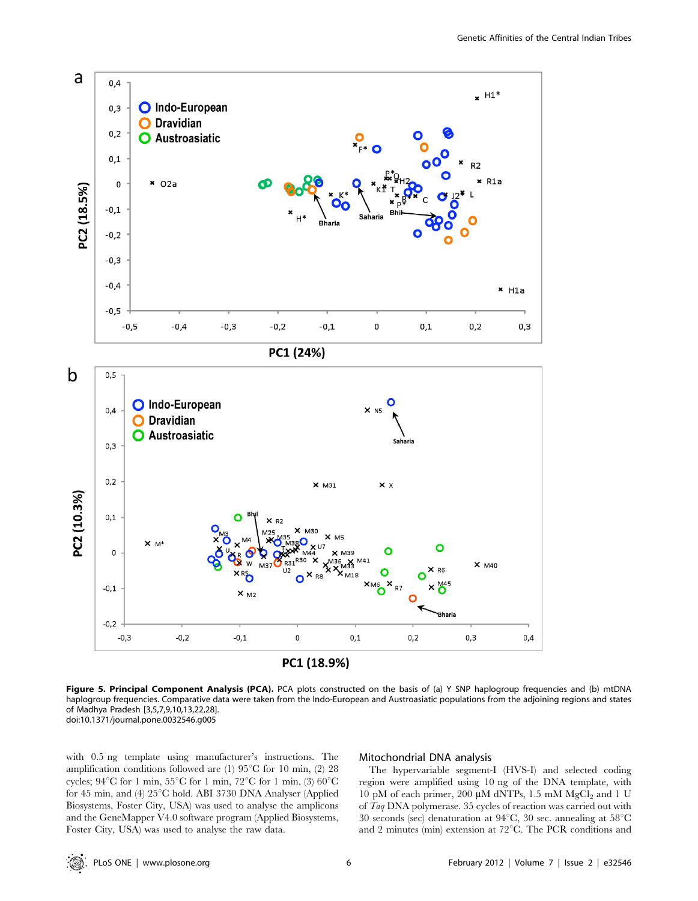

Figure 5. Principal Component Analysis (PCA). PCA plots constructed on the basis of (a) Y SNP haplogroup frequencies and (b) mtDNA haplogroup frequencies. Comparative data were taken from the Indo-European and Austroasiatic populations from the adjoining regions and states of Madhya Pradesh [3,5,7,9,10,13,22,28]. doi:10.1371/journal.pone.0032546.g005

with 0.5 ng template using manufacturer's instructions. The amplification conditions followed are (1)  $95^{\circ}$ C for 10 min, (2) 28 cycles;  $94^{\circ}$ C for 1 min,  $55^{\circ}$ C for 1 min,  $72^{\circ}$ C for 1 min,  $(3)$   $60^{\circ}$ C for 45 min, and (4)  $25^{\circ}$ C hold. ABI 3730 DNA Analyser (Applied Biosystems, Foster City, USA) was used to analyse the amplicons and the GeneMapper V4.0 software program (Applied Biosystems, Foster City, USA) was used to analyse the raw data.

# Mitochondrial DNA analysis

The hypervariable segment-I (HVS-I) and selected coding region were amplified using 10 ng of the DNA template, with 10 pM of each primer, 200  $\mu$ M dNTPs, 1.5 mM MgCl<sub>2</sub> and 1 U of Taq DNA polymerase. 35 cycles of reaction was carried out with 30 seconds (sec) denaturation at  $94^{\circ}$ C, 30 sec. annealing at  $58^{\circ}$ C and 2 minutes (min) extension at  $72^{\circ}$ C. The PCR conditions and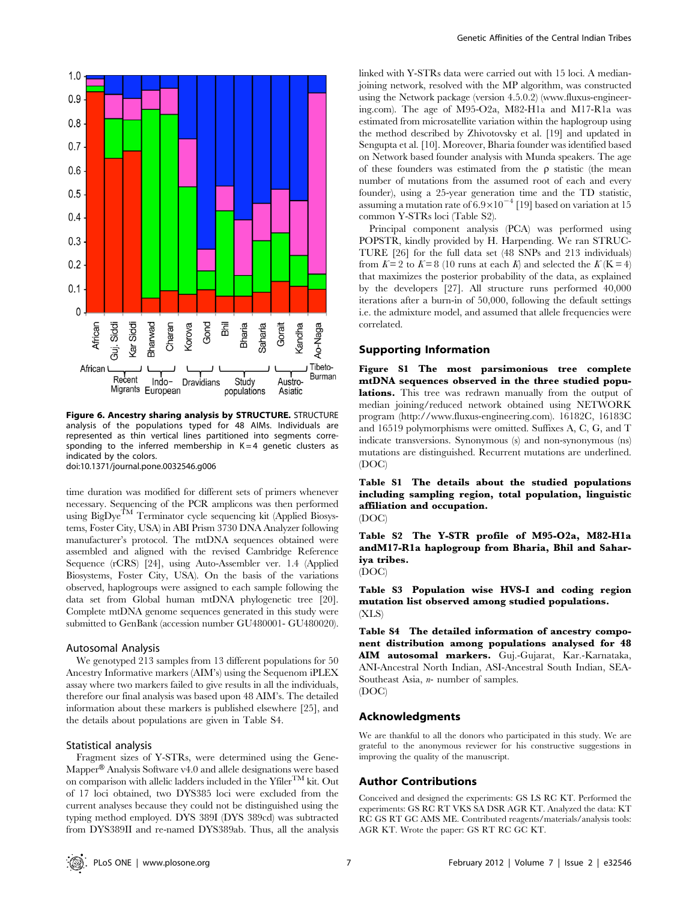

Figure 6. Ancestry sharing analysis by STRUCTURE. STRUCTURE analysis of the populations typed for 48 AIMs. Individuals are represented as thin vertical lines partitioned into segments corresponding to the inferred membership in  $K = 4$  genetic clusters as indicated by the colors.

doi:10.1371/journal.pone.0032546.g006

time duration was modified for different sets of primers whenever necessary. Sequencing of the PCR amplicons was then performed using  $\text{BigDye}^{\text{TM}}$  Terminator cycle sequencing kit (Applied Biosystems, Foster City, USA) in ABI Prism 3730 DNA Analyzer following manufacturer's protocol. The mtDNA sequences obtained were assembled and aligned with the revised Cambridge Reference Sequence (rCRS) [24], using Auto-Assembler ver. 1.4 (Applied Biosystems, Foster City, USA). On the basis of the variations observed, haplogroups were assigned to each sample following the data set from Global human mtDNA phylogenetic tree [20]. Complete mtDNA genome sequences generated in this study were submitted to GenBank (accession number GU480001- GU480020).

#### Autosomal Analysis

We genotyped 213 samples from 13 different populations for 50 Ancestry Informative markers (AIM's) using the Sequenom iPLEX assay where two markers failed to give results in all the individuals, therefore our final analysis was based upon 48 AIM's. The detailed information about these markers is published elsewhere [25], and the details about populations are given in Table S4.

# Statistical analysis

Fragment sizes of Y-STRs, were determined using the Gene-Mapper® Analysis Software v4.0 and allele designations were based on comparison with allelic ladders included in the  $Yfiler^{TM}$  kit. Out of 17 loci obtained, two DYS385 loci were excluded from the current analyses because they could not be distinguished using the typing method employed. DYS 389I (DYS 389cd) was subtracted from DYS389II and re-named DYS389ab. Thus, all the analysis

linked with Y-STRs data were carried out with 15 loci. A medianjoining network, resolved with the MP algorithm, was constructed using the Network package (version 4.5.0.2) (www.fluxus-engineering.com). The age of M95-O2a, M82-H1a and M17-R1a was estimated from microsatellite variation within the haplogroup using the method described by Zhivotovsky et al. [19] and updated in Sengupta et al. [10]. Moreover, Bharia founder was identified based on Network based founder analysis with Munda speakers. The age of these founders was estimated from the  $\rho$  statistic (the mean number of mutations from the assumed root of each and every founder), using a 25-year generation time and the TD statistic, assuming a mutation rate of  $6.9 \times 10^{-4}$  [19] based on variation at 15 common Y-STRs loci (Table S2).

Principal component analysis (PCA) was performed using POPSTR, kindly provided by H. Harpending. We ran STRUC-TURE [26] for the full data set (48 SNPs and 213 individuals) from  $K = 2$  to  $K = 8$  (10 runs at each K) and selected the  $K(K = 4)$ that maximizes the posterior probability of the data, as explained by the developers [27]. All structure runs performed 40,000 iterations after a burn-in of 50,000, following the default settings i.e. the admixture model, and assumed that allele frequencies were correlated.

## Supporting Information

Figure S1 The most parsimonious tree complete mtDNA sequences observed in the three studied populations. This tree was redrawn manually from the output of median joining/reduced network obtained using NETWORK program (http://www.fluxus-engineering.com). 16182C, 16183C and 16519 polymorphisms were omitted. Suffixes A, C, G, and T indicate transversions. Synonymous (s) and non-synonymous (ns) mutations are distinguished. Recurrent mutations are underlined. (DOC)

Table S1 The details about the studied populations including sampling region, total population, linguistic affiliation and occupation.

(DOC)

Table S2 The Y-STR profile of M95-O2a, M82-H1a andM17-R1a haplogroup from Bharia, Bhil and Sahariya tribes.

(DOC)

Table S3 Population wise HVS-I and coding region mutation list observed among studied populations. (XLS)

Table S4 The detailed information of ancestry component distribution among populations analysed for 48 AIM autosomal markers. Guj.-Gujarat, Kar.-Karnataka, ANI-Ancestral North Indian, ASI-Ancestral South Indian, SEA-Southeast Asia, *n*- number of samples. (DOC)

## Acknowledgments

We are thankful to all the donors who participated in this study. We are grateful to the anonymous reviewer for his constructive suggestions in improving the quality of the manuscript.

# Author Contributions

Conceived and designed the experiments: GS LS RC KT. Performed the experiments: GS RC RT VKS SA DSR AGR KT. Analyzed the data: KT RC GS RT GC AMS ME. Contributed reagents/materials/analysis tools: AGR KT. Wrote the paper: GS RT RC GC KT.